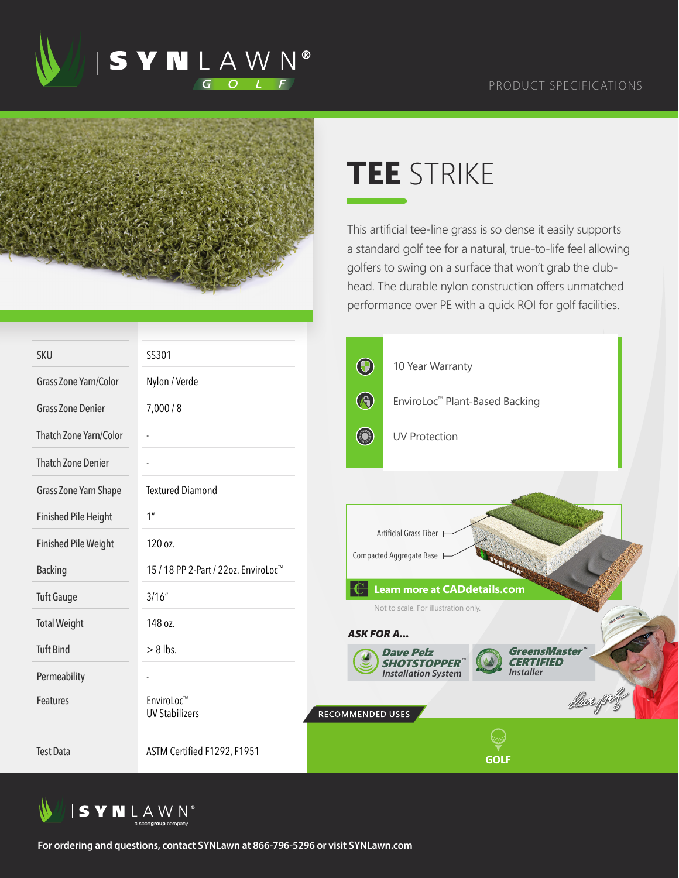



## **TEE** STRIKE

This artificial tee-line grass is so dense it easily supports a standard golf tee for a natural, true-to-life feel allowing golfers to swing on a surface that won't grab the clubhead. The durable nylon construction offers unmatched performance over PE with a quick ROI for golf facilities.

| <b>SKU</b>                    | SS301                                            | $\bigcirc$                                                                  | 10 Year Warranty                           |                                    |          |  |  |
|-------------------------------|--------------------------------------------------|-----------------------------------------------------------------------------|--------------------------------------------|------------------------------------|----------|--|--|
| Grass Zone Yarn/Color         | Nylon / Verde                                    |                                                                             |                                            |                                    |          |  |  |
| <b>Grass Zone Denier</b>      | 7,000/8                                          | B                                                                           | EnviroLoc <sup>™</sup> Plant-Based Backing |                                    |          |  |  |
| <b>Thatch Zone Yarn/Color</b> |                                                  | <b>CONTRACTOR</b>                                                           | <b>UV Protection</b>                       |                                    |          |  |  |
| <b>Thatch Zone Denier</b>     |                                                  |                                                                             |                                            |                                    |          |  |  |
| Grass Zone Yarn Shape         | <b>Textured Diamond</b>                          |                                                                             |                                            |                                    |          |  |  |
| <b>Finished Pile Height</b>   | 1 <sup>n</sup>                                   |                                                                             |                                            |                                    |          |  |  |
| <b>Finished Pile Weight</b>   | 120 oz.                                          | Artificial Grass Fiber<br>Compacted Aggregate Base                          |                                            |                                    |          |  |  |
| <b>Backing</b>                | 15 / 18 PP 2-Part / 22oz. EnviroLoc <sup>™</sup> |                                                                             |                                            |                                    |          |  |  |
| <b>Tuft Gauge</b>             | 3/16''                                           | <b>Learn more at CADdetails.com</b><br>Not to scale. For illustration only. |                                            |                                    |          |  |  |
| <b>Total Weight</b>           | 148 oz.                                          |                                                                             | <b>ASK FOR A</b>                           |                                    | ELZ GOLF |  |  |
| <b>Tuft Bind</b>              | $> 8$ lbs.                                       |                                                                             | <b>Dave Pelz</b><br><b>SHOTSTOPPER</b>     | <b>GreensMaster</b> "<br>ahati umu |          |  |  |
| Permeability                  |                                                  |                                                                             | <b>Installation System</b>                 | <b>Installer</b>                   |          |  |  |
| Features                      | EnviroLoc <sup>™</sup><br><b>UV Stabilizers</b>  | RECOMMENDED USES                                                            |                                            |                                    |          |  |  |
|                               |                                                  |                                                                             |                                            |                                    |          |  |  |
| <b>Test Data</b>              | ASTM Certified F1292, F1951                      |                                                                             |                                            | <b>GOLF</b>                        |          |  |  |